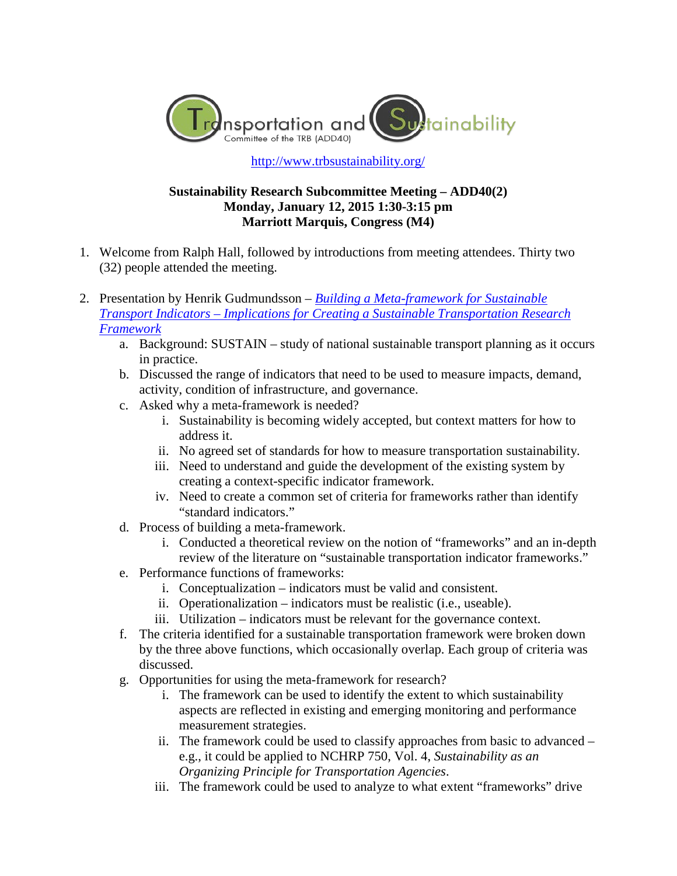

<http://www.trbsustainability.org/>

## **Sustainability Research Subcommittee Meeting – ADD40(2) Monday, January 12, 2015 1:30-3:15 pm Marriott Marquis, Congress (M4)**

- 1. Welcome from Ralph Hall, followed by introductions from meeting attendees. Thirty two (32) people attended the meeting.
- 2. Presentation by Henrik Gudmundsson *[Building a Meta-framework for Sustainable](http://www.trbsustainability.org/wp-content/uploads/2012/11/TRB_2015_Meta-Framework.pdf)  Transport Indicators – [Implications for Creating a Sustainable Transportation Research](http://www.trbsustainability.org/wp-content/uploads/2012/11/TRB_2015_Meta-Framework.pdf)  [Framework](http://www.trbsustainability.org/wp-content/uploads/2012/11/TRB_2015_Meta-Framework.pdf)*
	- a. Background: SUSTAIN study of national sustainable transport planning as it occurs in practice.
	- b. Discussed the range of indicators that need to be used to measure impacts, demand, activity, condition of infrastructure, and governance.
	- c. Asked why a meta-framework is needed?
		- i. Sustainability is becoming widely accepted, but context matters for how to address it.
		- ii. No agreed set of standards for how to measure transportation sustainability.
		- iii. Need to understand and guide the development of the existing system by creating a context-specific indicator framework.
		- iv. Need to create a common set of criteria for frameworks rather than identify "standard indicators."
	- d. Process of building a meta-framework.
		- i. Conducted a theoretical review on the notion of "frameworks" and an in-depth review of the literature on "sustainable transportation indicator frameworks."
	- e. Performance functions of frameworks:
		- i. Conceptualization indicators must be valid and consistent.
		- ii. Operationalization indicators must be realistic (i.e., useable).
		- iii. Utilization indicators must be relevant for the governance context.
	- f. The criteria identified for a sustainable transportation framework were broken down by the three above functions, which occasionally overlap. Each group of criteria was discussed.
	- g. Opportunities for using the meta-framework for research?
		- i. The framework can be used to identify the extent to which sustainability aspects are reflected in existing and emerging monitoring and performance measurement strategies.
		- ii. The framework could be used to classify approaches from basic to advanced e.g., it could be applied to NCHRP 750, Vol. 4, *Sustainability as an Organizing Principle for Transportation Agencies*.
		- iii. The framework could be used to analyze to what extent "frameworks" drive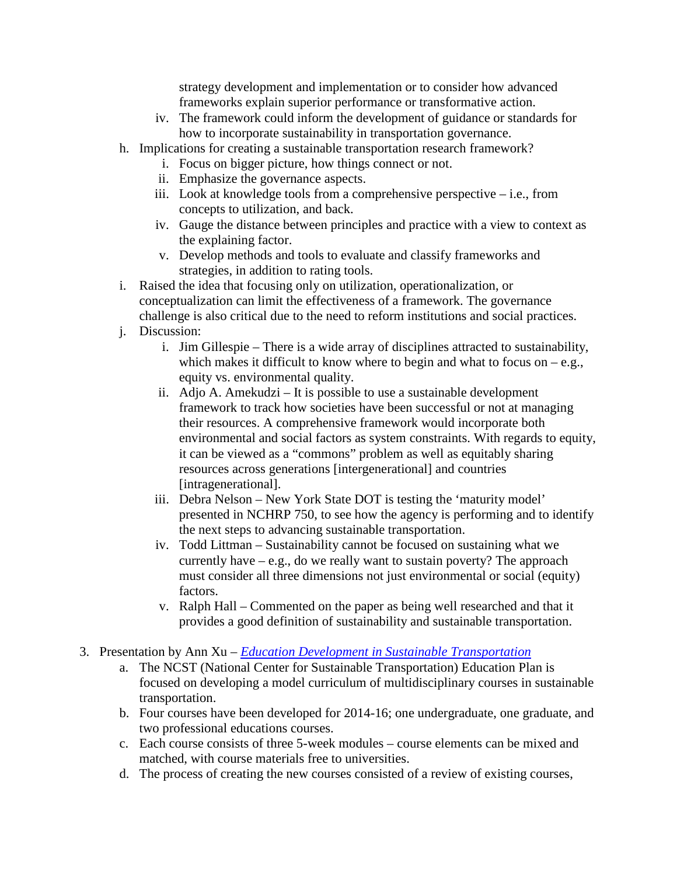strategy development and implementation or to consider how advanced frameworks explain superior performance or transformative action.

- iv. The framework could inform the development of guidance or standards for how to incorporate sustainability in transportation governance.
- h. Implications for creating a sustainable transportation research framework?
	- i. Focus on bigger picture, how things connect or not.
	- ii. Emphasize the governance aspects.
	- iii. Look at knowledge tools from a comprehensive perspective i.e., from concepts to utilization, and back.
	- iv. Gauge the distance between principles and practice with a view to context as the explaining factor.
	- v. Develop methods and tools to evaluate and classify frameworks and strategies, in addition to rating tools.
- i. Raised the idea that focusing only on utilization, operationalization, or conceptualization can limit the effectiveness of a framework. The governance challenge is also critical due to the need to reform institutions and social practices.
- j. Discussion:
	- i. Jim Gillespie There is a wide array of disciplines attracted to sustainability, which makes it difficult to know where to begin and what to focus on  $-e.g.,$ equity vs. environmental quality.
	- ii. Adjo A. Amekudzi It is possible to use a sustainable development framework to track how societies have been successful or not at managing their resources. A comprehensive framework would incorporate both environmental and social factors as system constraints. With regards to equity, it can be viewed as a "commons" problem as well as equitably sharing resources across generations [intergenerational] and countries [intragenerational].
	- iii. Debra Nelson New York State DOT is testing the 'maturity model' presented in NCHRP 750, to see how the agency is performing and to identify the next steps to advancing sustainable transportation.
	- iv. Todd Littman Sustainability cannot be focused on sustaining what we currently have  $-e.g.,$  do we really want to sustain poverty? The approach must consider all three dimensions not just environmental or social (equity) factors.
	- v. Ralph Hall Commented on the paper as being well researched and that it provides a good definition of sustainability and sustainable transportation.
- 3. Presentation by Ann Xu *[Education Development in Sustainable Transportation](http://www.trbsustainability.org/wp-content/uploads/2012/11/TRB_2015_ST_Education.pdf)*
	- a. The NCST (National Center for Sustainable Transportation) Education Plan is focused on developing a model curriculum of multidisciplinary courses in sustainable transportation.
	- b. Four courses have been developed for 2014-16; one undergraduate, one graduate, and two professional educations courses.
	- c. Each course consists of three 5-week modules course elements can be mixed and matched, with course materials free to universities.
	- d. The process of creating the new courses consisted of a review of existing courses,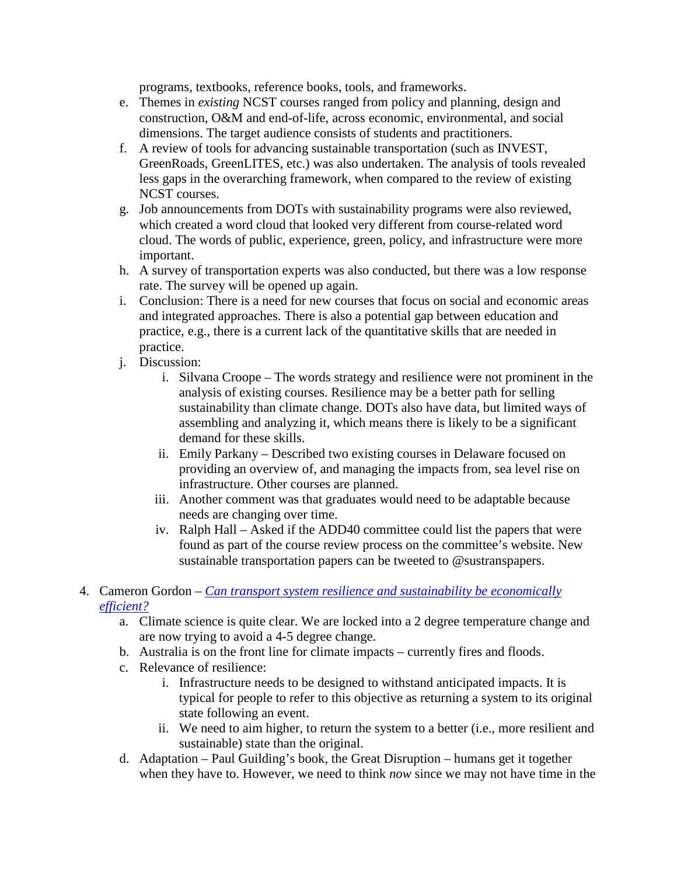programs, textbooks, reference books, tools, and frameworks.

- e. Themes in *existing* NCST courses ranged from policy and planning, design and construction, O&M and end-of-life, across economic, environmental, and social dimensions. The target audience consists of students and practitioners.
- f. A review of tools for advancing sustainable transportation (such as INVEST, GreenRoads, GreenLITES, etc.) was also undertaken. The analysis of tools revealed less gaps in the overarching framework, when compared to the review of existing NCST courses.
- g. Job announcements from DOTs with sustainability programs were also reviewed, which created a word cloud that looked very different from course-related word cloud. The words of public, experience, green, policy, and infrastructure were more important.
- h. A survey of transportation experts was also conducted, but there was a low response rate. The survey will be opened up again.
- i. Conclusion: There is a need for new courses that focus on social and economic areas and integrated approaches. There is also a potential gap between education and practice, e.g., there is a current lack of the quantitative skills that are needed in practice.
- j. Discussion:
	- i. Silvana Croope The words strategy and resilience were not prominent in the analysis of existing courses. Resilience may be a better path for selling sustainability than climate change. DOTs also have data, but limited ways of assembling and analyzing it, which means there is likely to be a significant demand for these skills.
	- ii. Emily Parkany Described two existing courses in Delaware focused on providing an overview of, and managing the impacts from, sea level rise on infrastructure. Other courses are planned.
	- iii. Another comment was that graduates would need to be adaptable because needs are changing over time.
	- iv. Ralph Hall Asked if the ADD40 committee could list the papers that were found as part of the course review process on the committee's website. New sustainable transportation papers can be tweeted to @sustranspapers.
- 4. Cameron Gordon *[Can transport system resilience and sustainability be economically](http://www.trbsustainability.org/wp-content/uploads/2012/11/TRB_2015_resilience.pdf)  [efficient?](http://www.trbsustainability.org/wp-content/uploads/2012/11/TRB_2015_resilience.pdf)*
	- a. Climate science is quite clear. We are locked into a 2 degree temperature change and are now trying to avoid a 4-5 degree change.
	- b. Australia is on the front line for climate impacts currently fires and floods.
	- c. Relevance of resilience:
		- i. Infrastructure needs to be designed to withstand anticipated impacts. It is typical for people to refer to this objective as returning a system to its original state following an event.
		- ii. We need to aim higher, to return the system to a better (i.e., more resilient and sustainable) state than the original.
	- d. Adaptation Paul Guilding's book, the Great Disruption humans get it together when they have to. However, we need to think *now* since we may not have time in the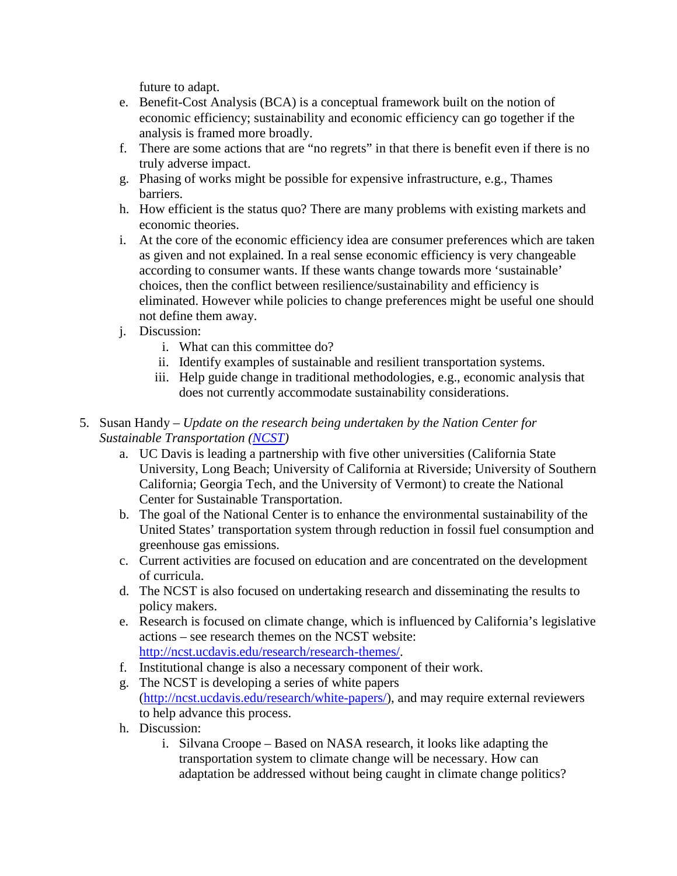future to adapt.

- e. Benefit-Cost Analysis (BCA) is a conceptual framework built on the notion of economic efficiency; sustainability and economic efficiency can go together if the analysis is framed more broadly.
- f. There are some actions that are "no regrets" in that there is benefit even if there is no truly adverse impact.
- g. Phasing of works might be possible for expensive infrastructure, e.g., Thames barriers.
- h. How efficient is the status quo? There are many problems with existing markets and economic theories.
- i. At the core of the economic efficiency idea are consumer preferences which are taken as given and not explained. In a real sense economic efficiency is very changeable according to consumer wants. If these wants change towards more 'sustainable' choices, then the conflict between resilience/sustainability and efficiency is eliminated. However while policies to change preferences might be useful one should not define them away.
- j. Discussion:
	- i. What can this committee do?
	- ii. Identify examples of sustainable and resilient transportation systems.
	- iii. Help guide change in traditional methodologies, e.g., economic analysis that does not currently accommodate sustainability considerations.
- 5. Susan Handy *Update on the research being undertaken by the Nation Center for Sustainable Transportation [\(NCST\)](http://ncst.ucdavis.edu/)*
	- a. UC Davis is leading a partnership with five other universities (California State University, Long Beach; University of California at Riverside; University of Southern California; Georgia Tech, and the University of Vermont) to create the National Center for Sustainable Transportation.
	- b. The goal of the National Center is to enhance the environmental sustainability of the United States' transportation system through reduction in fossil fuel consumption and greenhouse gas emissions.
	- c. Current activities are focused on education and are concentrated on the development of curricula.
	- d. The NCST is also focused on undertaking research and disseminating the results to policy makers.
	- e. Research is focused on climate change, which is influenced by California's legislative actions – see research themes on the NCST website: [http://ncst.ucdavis.edu/research/research-themes/.](http://ncst.ucdavis.edu/research/research-themes/)
	- f. Institutional change is also a necessary component of their work.
	- g. The NCST is developing a series of white papers [\(http://ncst.ucdavis.edu/research/white-papers/\)](http://ncst.ucdavis.edu/research/white-papers/), and may require external reviewers to help advance this process.
	- h. Discussion:
		- i. Silvana Croope Based on NASA research, it looks like adapting the transportation system to climate change will be necessary. How can adaptation be addressed without being caught in climate change politics?